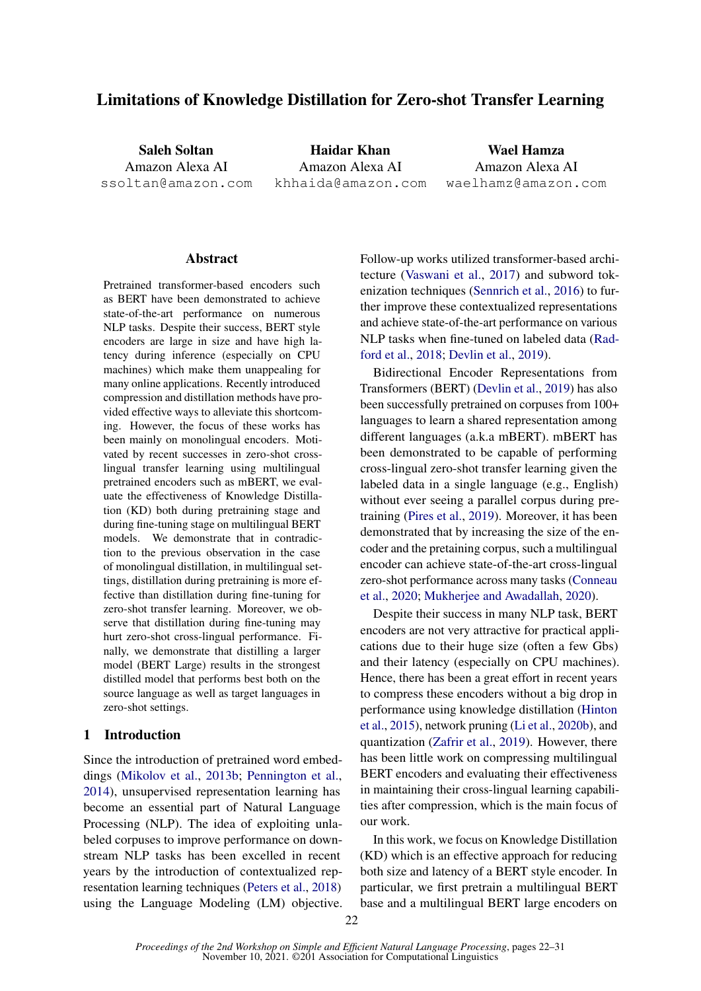# Limitations of Knowledge Distillation for Zero-shot Transfer Learning

Saleh Soltan Amazon Alexa AI ssoltan@amazon.com

Haidar Khan Amazon Alexa AI khhaida@amazon.com

Wael Hamza Amazon Alexa AI waelhamz@amazon.com

#### **Abstract**

Pretrained transformer-based encoders such as BERT have been demonstrated to achieve state-of-the-art performance on numerous NLP tasks. Despite their success, BERT style encoders are large in size and have high latency during inference (especially on CPU machines) which make them unappealing for many online applications. Recently introduced compression and distillation methods have provided effective ways to alleviate this shortcoming. However, the focus of these works has been mainly on monolingual encoders. Motivated by recent successes in zero-shot crosslingual transfer learning using multilingual pretrained encoders such as mBERT, we evaluate the effectiveness of Knowledge Distillation (KD) both during pretraining stage and during fine-tuning stage on multilingual BERT models. We demonstrate that in contradiction to the previous observation in the case of monolingual distillation, in multilingual settings, distillation during pretraining is more effective than distillation during fine-tuning for zero-shot transfer learning. Moreover, we observe that distillation during fine-tuning may hurt zero-shot cross-lingual performance. Finally, we demonstrate that distilling a larger model (BERT Large) results in the strongest distilled model that performs best both on the source language as well as target languages in zero-shot settings.

#### 1 Introduction

Since the introduction of pretrained word embeddings [\(Mikolov et al.,](#page-8-0) [2013b;](#page-8-0) [Pennington et al.,](#page-9-0) [2014\)](#page-9-0), unsupervised representation learning has become an essential part of Natural Language Processing (NLP). The idea of exploiting unlabeled corpuses to improve performance on downstream NLP tasks has been excelled in recent years by the introduction of contextualized representation learning techniques [\(Peters et al.,](#page-9-1) [2018\)](#page-9-1) using the Language Modeling (LM) objective. Follow-up works utilized transformer-based architecture [\(Vaswani et al.,](#page-9-2) [2017\)](#page-9-2) and subword tokenization techniques [\(Sennrich et al.,](#page-9-3) [2016\)](#page-9-3) to further improve these contextualized representations and achieve state-of-the-art performance on various NLP tasks when fine-tuned on labeled data [\(Rad](#page-9-4)[ford et al.,](#page-9-4) [2018;](#page-9-4) [Devlin et al.,](#page-8-1) [2019\)](#page-8-1).

Bidirectional Encoder Representations from Transformers (BERT) [\(Devlin et al.,](#page-8-1) [2019\)](#page-8-1) has also been successfully pretrained on corpuses from 100+ languages to learn a shared representation among different languages (a.k.a mBERT). mBERT has been demonstrated to be capable of performing cross-lingual zero-shot transfer learning given the labeled data in a single language (e.g., English) without ever seeing a parallel corpus during pretraining [\(Pires et al.,](#page-9-5) [2019\)](#page-9-5). Moreover, it has been demonstrated that by increasing the size of the encoder and the pretaining corpus, such a multilingual encoder can achieve state-of-the-art cross-lingual zero-shot performance across many tasks [\(Conneau](#page-8-2) [et al.,](#page-8-2) [2020;](#page-8-2) [Mukherjee and Awadallah,](#page-8-3) [2020\)](#page-8-3).

Despite their success in many NLP task, BERT encoders are not very attractive for practical applications due to their huge size (often a few Gbs) and their latency (especially on CPU machines). Hence, there has been a great effort in recent years to compress these encoders without a big drop in performance using knowledge distillation [\(Hinton](#page-8-4) [et al.,](#page-8-4) [2015\)](#page-8-4), network pruning [\(Li et al.,](#page-8-5) [2020b\)](#page-8-5), and quantization [\(Zafrir et al.,](#page-9-6) [2019\)](#page-9-6). However, there has been little work on compressing multilingual BERT encoders and evaluating their effectiveness in maintaining their cross-lingual learning capabilities after compression, which is the main focus of our work.

In this work, we focus on Knowledge Distillation (KD) which is an effective approach for reducing both size and latency of a BERT style encoder. In particular, we first pretrain a multilingual BERT base and a multilingual BERT large encoders on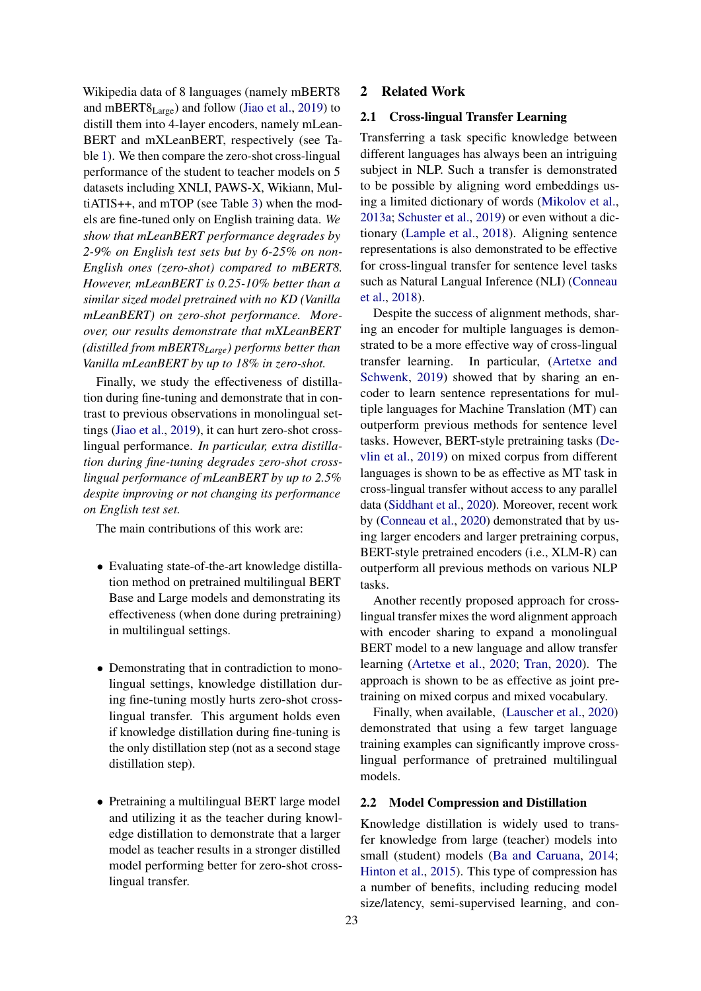Wikipedia data of 8 languages (namely mBERT8 and mBERT8Large) and follow [\(Jiao et al.,](#page-8-6) [2019\)](#page-8-6) to distill them into 4-layer encoders, namely mLean-BERT and mXLeanBERT, respectively (see Table [1\)](#page-2-0). We then compare the zero-shot cross-lingual performance of the student to teacher models on 5 datasets including XNLI, PAWS-X, Wikiann, MultiATIS++, and mTOP (see Table [3\)](#page-4-0) when the models are fine-tuned only on English training data. *We show that mLeanBERT performance degrades by 2-9% on English test sets but by 6-25% on non-English ones (zero-shot) compared to mBERT8. However, mLeanBERT is 0.25-10% better than a similar sized model pretrained with no KD (Vanilla mLeanBERT) on zero-shot performance. Moreover, our results demonstrate that mXLeanBERT (distilled from mBERT8Large) performs better than Vanilla mLeanBERT by up to 18% in zero-shot.*

Finally, we study the effectiveness of distillation during fine-tuning and demonstrate that in contrast to previous observations in monolingual settings [\(Jiao et al.,](#page-8-6) [2019\)](#page-8-6), it can hurt zero-shot crosslingual performance. *In particular, extra distillation during fine-tuning degrades zero-shot crosslingual performance of mLeanBERT by up to 2.5% despite improving or not changing its performance on English test set.*

The main contributions of this work are:

- Evaluating state-of-the-art knowledge distillation method on pretrained multilingual BERT Base and Large models and demonstrating its effectiveness (when done during pretraining) in multilingual settings.
- Demonstrating that in contradiction to monolingual settings, knowledge distillation during fine-tuning mostly hurts zero-shot crosslingual transfer. This argument holds even if knowledge distillation during fine-tuning is the only distillation step (not as a second stage distillation step).
- Pretraining a multilingual BERT large model and utilizing it as the teacher during knowledge distillation to demonstrate that a larger model as teacher results in a stronger distilled model performing better for zero-shot crosslingual transfer.

### 2 Related Work

### 2.1 Cross-lingual Transfer Learning

Transferring a task specific knowledge between different languages has always been an intriguing subject in NLP. Such a transfer is demonstrated to be possible by aligning word embeddings using a limited dictionary of words [\(Mikolov et al.,](#page-8-7) [2013a;](#page-8-7) [Schuster et al.,](#page-9-7) [2019\)](#page-9-7) or even without a dictionary [\(Lample et al.,](#page-8-8) [2018\)](#page-8-8). Aligning sentence representations is also demonstrated to be effective for cross-lingual transfer for sentence level tasks such as Natural Langual Inference (NLI) [\(Conneau](#page-8-9) [et al.,](#page-8-9) [2018\)](#page-8-9).

Despite the success of alignment methods, sharing an encoder for multiple languages is demonstrated to be a more effective way of cross-lingual transfer learning. In particular, [\(Artetxe and](#page-8-10) [Schwenk,](#page-8-10) [2019\)](#page-8-10) showed that by sharing an encoder to learn sentence representations for multiple languages for Machine Translation (MT) can outperform previous methods for sentence level tasks. However, BERT-style pretraining tasks [\(De](#page-8-1)[vlin et al.,](#page-8-1) [2019\)](#page-8-1) on mixed corpus from different languages is shown to be as effective as MT task in cross-lingual transfer without access to any parallel data [\(Siddhant et al.,](#page-9-8) [2020\)](#page-9-8). Moreover, recent work by [\(Conneau et al.,](#page-8-2) [2020\)](#page-8-2) demonstrated that by using larger encoders and larger pretraining corpus, BERT-style pretrained encoders (i.e., XLM-R) can outperform all previous methods on various NLP tasks.

Another recently proposed approach for crosslingual transfer mixes the word alignment approach with encoder sharing to expand a monolingual BERT model to a new language and allow transfer learning [\(Artetxe et al.,](#page-8-11) [2020;](#page-8-11) [Tran,](#page-9-9) [2020\)](#page-9-9). The approach is shown to be as effective as joint pretraining on mixed corpus and mixed vocabulary.

Finally, when available, [\(Lauscher et al.,](#page-8-12) [2020\)](#page-8-12) demonstrated that using a few target language training examples can significantly improve crosslingual performance of pretrained multilingual models.

## 2.2 Model Compression and Distillation

Knowledge distillation is widely used to transfer knowledge from large (teacher) models into small (student) models [\(Ba and Caruana,](#page-8-13) [2014;](#page-8-13) [Hinton et al.,](#page-8-4) [2015\)](#page-8-4). This type of compression has a number of benefits, including reducing model size/latency, semi-supervised learning, and con-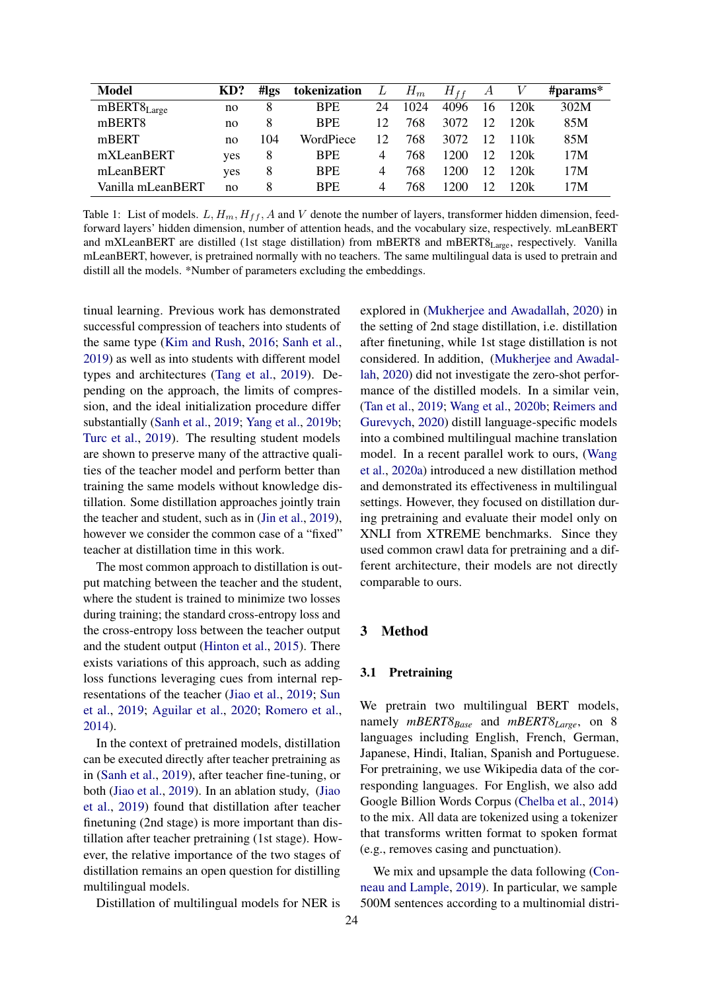<span id="page-2-0"></span>

| <b>Model</b>      | KD? | #lgs | tokenization | L  | $H_m$ | $H_{ff}$ | А  |      | # $\mathbf{params}^*$ |
|-------------------|-----|------|--------------|----|-------|----------|----|------|-----------------------|
| $mBERT8_{Large}$  | no  |      | <b>BPE</b>   | 24 | 1024  | 4096     | 16 | 120k | 302M                  |
| mBERT8            | no  | 8    | <b>BPE</b>   | 12 | 768   | 3072     | 12 | 120k | 85M                   |
| mBERT             | no  | 104  | WordPiece    | 12 | 768   | 3072     | 12 | 110k | 85M                   |
| mXLeanBERT        | yes | 8    | <b>BPE</b>   | 4  | 768   | 1200     | 12 | 120k | 17M                   |
| mLeanBERT         | yes | 8    | <b>BPE</b>   | 4  | 768   | 1200.    | 12 | 120k | 17M                   |
| Vanilla mLeanBERT | no  | 8    | <b>BPE</b>   | 4  | 768   | 1200     | 12 | 120k | 17M                   |

Table 1: List of models.  $L, H_m, H_{ff}, A$  and V denote the number of layers, transformer hidden dimension, feedforward layers' hidden dimension, number of attention heads, and the vocabulary size, respectively. mLeanBERT and mXLeanBERT are distilled (1st stage distillation) from mBERT8 and mBERT8<sub>Large</sub>, respectively. Vanilla mLeanBERT, however, is pretrained normally with no teachers. The same multilingual data is used to pretrain and distill all the models. \*Number of parameters excluding the embeddings.

tinual learning. Previous work has demonstrated successful compression of teachers into students of the same type [\(Kim and Rush,](#page-8-14) [2016;](#page-8-14) [Sanh et al.,](#page-9-10) [2019\)](#page-9-10) as well as into students with different model types and architectures [\(Tang et al.,](#page-9-11) [2019\)](#page-9-11). Depending on the approach, the limits of compression, and the ideal initialization procedure differ substantially [\(Sanh et al.,](#page-9-10) [2019;](#page-9-10) [Yang et al.,](#page-9-12) [2019b;](#page-9-12) [Turc et al.,](#page-9-13) [2019\)](#page-9-13). The resulting student models are shown to preserve many of the attractive qualities of the teacher model and perform better than training the same models without knowledge distillation. Some distillation approaches jointly train the teacher and student, such as in [\(Jin et al.,](#page-8-15) [2019\)](#page-8-15), however we consider the common case of a "fixed" teacher at distillation time in this work.

The most common approach to distillation is output matching between the teacher and the student, where the student is trained to minimize two losses during training; the standard cross-entropy loss and the cross-entropy loss between the teacher output and the student output [\(Hinton et al.,](#page-8-4) [2015\)](#page-8-4). There exists variations of this approach, such as adding loss functions leveraging cues from internal representations of the teacher [\(Jiao et al.,](#page-8-6) [2019;](#page-8-6) [Sun](#page-9-14) [et al.,](#page-9-14) [2019;](#page-9-14) [Aguilar et al.,](#page-8-16) [2020;](#page-8-16) [Romero et al.,](#page-9-15) [2014\)](#page-9-15).

In the context of pretrained models, distillation can be executed directly after teacher pretraining as in [\(Sanh et al.,](#page-9-10) [2019\)](#page-9-10), after teacher fine-tuning, or both [\(Jiao et al.,](#page-8-6) [2019\)](#page-8-6). In an ablation study, [\(Jiao](#page-8-6) [et al.,](#page-8-6) [2019\)](#page-8-6) found that distillation after teacher finetuning (2nd stage) is more important than distillation after teacher pretraining (1st stage). However, the relative importance of the two stages of distillation remains an open question for distilling multilingual models.

Distillation of multilingual models for NER is

explored in [\(Mukherjee and Awadallah,](#page-8-3) [2020\)](#page-8-3) in the setting of 2nd stage distillation, i.e. distillation after finetuning, while 1st stage distillation is not considered. In addition, [\(Mukherjee and Awadal](#page-8-3)[lah,](#page-8-3) [2020\)](#page-8-3) did not investigate the zero-shot performance of the distilled models. In a similar vein, [\(Tan et al.,](#page-9-16) [2019;](#page-9-16) [Wang et al.,](#page-9-17) [2020b;](#page-9-17) [Reimers and](#page-9-18) [Gurevych,](#page-9-18) [2020\)](#page-9-18) distill language-specific models into a combined multilingual machine translation model. In a recent parallel work to ours, [\(Wang](#page-9-19) [et al.,](#page-9-19) [2020a\)](#page-9-19) introduced a new distillation method and demonstrated its effectiveness in multilingual settings. However, they focused on distillation during pretraining and evaluate their model only on XNLI from XTREME benchmarks. Since they used common crawl data for pretraining and a different architecture, their models are not directly comparable to ours.

## <span id="page-2-2"></span>3 Method

#### <span id="page-2-1"></span>3.1 Pretraining

We pretrain two multilingual BERT models, namely *mBERT8Base* and *mBERT8Large*, on 8 languages including English, French, German, Japanese, Hindi, Italian, Spanish and Portuguese. For pretraining, we use Wikipedia data of the corresponding languages. For English, we also add Google Billion Words Corpus [\(Chelba et al.,](#page-8-17) [2014\)](#page-8-17) to the mix. All data are tokenized using a tokenizer that transforms written format to spoken format (e.g., removes casing and punctuation).

We mix and upsample the data following [\(Con](#page-8-18)[neau and Lample,](#page-8-18) [2019\)](#page-8-18). In particular, we sample 500M sentences according to a multinomial distri-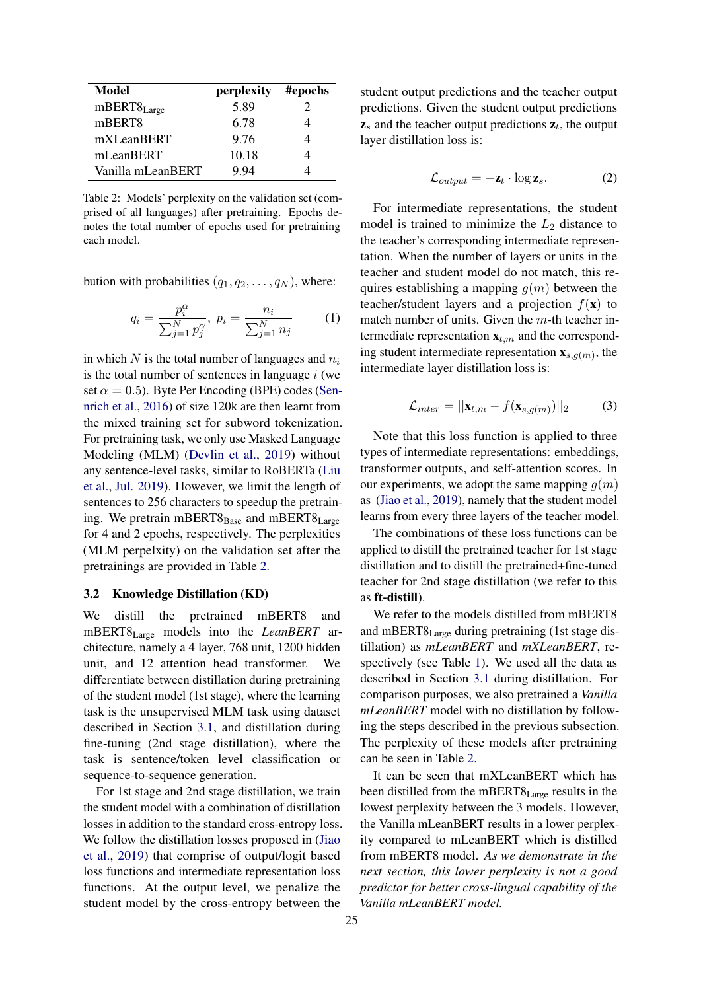<span id="page-3-0"></span>

| Model             | perplexity | #epochs |
|-------------------|------------|---------|
| $mBERT8_{Large}$  | 5.89       |         |
| mBERT8            | 6.78       |         |
| mXLeanBERT        | 9.76       |         |
| mLeanBERT         | 10.18      |         |
| Vanilla mLeanBERT | 9 94       |         |

Table 2: Models' perplexity on the validation set (comprised of all languages) after pretraining. Epochs denotes the total number of epochs used for pretraining each model.

bution with probabilities  $(q_1, q_2, \ldots, q_N)$ , where:

$$
q_i = \frac{p_i^{\alpha}}{\sum_{j=1}^{N} p_j^{\alpha}}, \ p_i = \frac{n_i}{\sum_{j=1}^{N} n_j} \tag{1}
$$

in which  $N$  is the total number of languages and  $n_i$ is the total number of sentences in language  $i$  (we set  $\alpha = 0.5$ ). Byte Per Encoding (BPE) codes [\(Sen](#page-9-3)[nrich et al.,](#page-9-3) [2016\)](#page-9-3) of size 120k are then learnt from the mixed training set for subword tokenization. For pretraining task, we only use Masked Language Modeling (MLM) [\(Devlin et al.,](#page-8-1) [2019\)](#page-8-1) without any sentence-level tasks, similar to RoBERTa [\(Liu](#page-8-19) [et al.,](#page-8-19) [Jul. 2019\)](#page-8-19). However, we limit the length of sentences to 256 characters to speedup the pretraining. We pretrain mBERT $8_{Base}$  and mBERT $8_{Large}$ for 4 and 2 epochs, respectively. The perplexities (MLM perpelxity) on the validation set after the pretrainings are provided in Table [2.](#page-3-0)

#### 3.2 Knowledge Distillation (KD)

We distill the pretrained mBERT8 and mBERT8Large models into the *LeanBERT* architecture, namely a 4 layer, 768 unit, 1200 hidden unit, and 12 attention head transformer. We differentiate between distillation during pretraining of the student model (1st stage), where the learning task is the unsupervised MLM task using dataset described in Section [3.1,](#page-2-1) and distillation during fine-tuning (2nd stage distillation), where the task is sentence/token level classification or sequence-to-sequence generation.

For 1st stage and 2nd stage distillation, we train the student model with a combination of distillation losses in addition to the standard cross-entropy loss. We follow the distillation losses proposed in [\(Jiao](#page-8-6) [et al.,](#page-8-6) [2019\)](#page-8-6) that comprise of output/logit based loss functions and intermediate representation loss functions. At the output level, we penalize the student model by the cross-entropy between the

student output predictions and the teacher output predictions. Given the student output predictions  $z_s$  and the teacher output predictions  $z_t$ , the output layer distillation loss is:

$$
\mathcal{L}_{output} = -\mathbf{z}_t \cdot \log \mathbf{z}_s. \tag{2}
$$

For intermediate representations, the student model is trained to minimize the  $L_2$  distance to the teacher's corresponding intermediate representation. When the number of layers or units in the teacher and student model do not match, this requires establishing a mapping  $g(m)$  between the teacher/student layers and a projection  $f(\mathbf{x})$  to match number of units. Given the  $m$ -th teacher intermediate representation  $\mathbf{x}_{t,m}$  and the corresponding student intermediate representation  $\mathbf{x}_{s,g(m)}$ , the intermediate layer distillation loss is:

$$
\mathcal{L}_{inter} = ||\mathbf{x}_{t,m} - f(\mathbf{x}_{s,g(m)})||_2 \tag{3}
$$

Note that this loss function is applied to three types of intermediate representations: embeddings, transformer outputs, and self-attention scores. In our experiments, we adopt the same mapping  $q(m)$ as [\(Jiao et al.,](#page-8-6) [2019\)](#page-8-6), namely that the student model learns from every three layers of the teacher model.

The combinations of these loss functions can be applied to distill the pretrained teacher for 1st stage distillation and to distill the pretrained+fine-tuned teacher for 2nd stage distillation (we refer to this as ft-distill).

We refer to the models distilled from mBERT8 and mBERT8Large during pretraining (1st stage distillation) as *mLeanBERT* and *mXLeanBERT*, respectively (see Table [1\)](#page-2-0). We used all the data as described in Section [3.1](#page-2-1) during distillation. For comparison purposes, we also pretrained a *Vanilla mLeanBERT* model with no distillation by following the steps described in the previous subsection. The perplexity of these models after pretraining can be seen in Table [2.](#page-3-0)

It can be seen that mXLeanBERT which has been distilled from the mBERT8<sub>Large</sub> results in the lowest perplexity between the 3 models. However, the Vanilla mLeanBERT results in a lower perplexity compared to mLeanBERT which is distilled from mBERT8 model. *As we demonstrate in the next section, this lower perplexity is not a good predictor for better cross-lingual capability of the Vanilla mLeanBERT model.*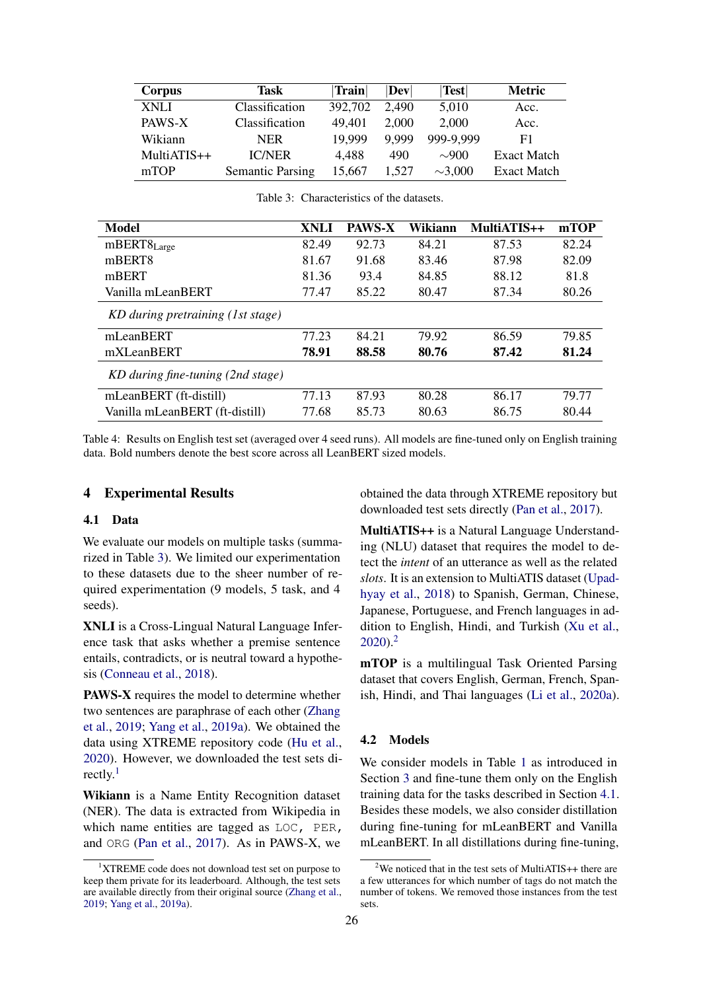<span id="page-4-0"></span>

| Corpus      | Task                    | Train   | $\bf  Dev $ | <b>Test</b>  | <b>Metric</b>      |
|-------------|-------------------------|---------|-------------|--------------|--------------------|
| <b>XNLI</b> | Classification          | 392,702 | 2.490       | 5,010        | Acc.               |
| PAWS-X      | Classification          | 49,401  | 2.000       | 2,000        | Acc.               |
| Wikiann     | <b>NER</b>              | 19.999  | 9.999       | 999-9,999    | F1                 |
| MultiATIS++ | <b>IC/NER</b>           | 4,488   | 490         | $\sim 900$   | <b>Exact Match</b> |
| mTOP        | <b>Semantic Parsing</b> | 15.667  | 1.527       | $\sim$ 3,000 | Exact Match        |

<span id="page-4-4"></span>

| Model                             | XNLI  | <b>PAWS-X</b> | Wikiann | MultiATIS++ | mTOP  |
|-----------------------------------|-------|---------------|---------|-------------|-------|
| $mBERT8_{Large}$                  | 82.49 | 92.73         | 84.21   | 87.53       | 82.24 |
| mBERT8                            | 81.67 | 91.68         | 83.46   | 87.98       | 82.09 |
| mBERT                             | 81.36 | 93.4          | 84.85   | 88.12       | 81.8  |
| Vanilla mLeanBERT                 | 77.47 | 85.22         | 80.47   | 87.34       | 80.26 |
| KD during pretraining (1st stage) |       |               |         |             |       |
| mLeanBERT                         | 77.23 | 84.21         | 79.92   | 86.59       | 79.85 |
| mXLeanBERT                        | 78.91 | 88.58         | 80.76   | 87.42       | 81.24 |
| KD during fine-tuning (2nd stage) |       |               |         |             |       |
| mLeanBERT (ft-distill)            | 77.13 | 87.93         | 80.28   | 86.17       | 79.77 |
| Vanilla mLeanBERT (ft-distill)    | 77.68 | 85.73         | 80.63   | 86.75       | 80.44 |

Table 3: Characteristics of the datasets.

Table 4: Results on English test set (averaged over 4 seed runs). All models are fine-tuned only on English training data. Bold numbers denote the best score across all LeanBERT sized models.

## 4 Experimental Results

### <span id="page-4-3"></span>4.1 Data

We evaluate our models on multiple tasks (summarized in Table [3\)](#page-4-0). We limited our experimentation to these datasets due to the sheer number of required experimentation (9 models, 5 task, and 4 seeds).

XNLI is a Cross-Lingual Natural Language Inference task that asks whether a premise sentence entails, contradicts, or is neutral toward a hypothesis [\(Conneau et al.,](#page-8-9) [2018\)](#page-8-9).

PAWS-X requires the model to determine whether two sentences are paraphrase of each other [\(Zhang](#page-9-20) [et al.,](#page-9-20) [2019;](#page-9-20) [Yang et al.,](#page-9-21) [2019a\)](#page-9-21). We obtained the data using XTREME repository code [\(Hu et al.,](#page-8-20) [2020\)](#page-8-20). However, we downloaded the test sets di-rectly.<sup>[1](#page-4-1)</sup>

Wikiann is a Name Entity Recognition dataset (NER). The data is extracted from Wikipedia in which name entities are tagged as LOC, PER, and ORG [\(Pan et al.,](#page-9-22) [2017\)](#page-9-22). As in PAWS-X, we obtained the data through XTREME repository but downloaded test sets directly [\(Pan et al.,](#page-9-22) [2017\)](#page-9-22).

MultiATIS++ is a Natural Language Understanding (NLU) dataset that requires the model to detect the *intent* of an utterance as well as the related *slots*. It is an extension to MultiATIS dataset [\(Upad](#page-9-23)[hyay et al.,](#page-9-23) [2018\)](#page-9-23) to Spanish, German, Chinese, Japanese, Portuguese, and French languages in addition to English, Hindi, and Turkish [\(Xu et al.,](#page-9-24)  $2020$  $2020$ <sup>2</sup>

mTOP is a multilingual Task Oriented Parsing dataset that covers English, German, French, Spanish, Hindi, and Thai languages [\(Li et al.,](#page-8-21) [2020a\)](#page-8-21).

# 4.2 Models

We consider models in Table [1](#page-2-0) as introduced in Section [3](#page-2-2) and fine-tune them only on the English training data for the tasks described in Section [4.1.](#page-4-3) Besides these models, we also consider distillation during fine-tuning for mLeanBERT and Vanilla mLeanBERT. In all distillations during fine-tuning,

<span id="page-4-1"></span> $1$ XTREME code does not download test set on purpose to keep them private for its leaderboard. Although, the test sets are available directly from their original source [\(Zhang et al.,](#page-9-20) [2019;](#page-9-20) [Yang et al.,](#page-9-21) [2019a\)](#page-9-21).

<span id="page-4-2"></span><sup>&</sup>lt;sup>2</sup>We noticed that in the test sets of MultiATIS++ there are a few utterances for which number of tags do not match the number of tokens. We removed those instances from the test sets.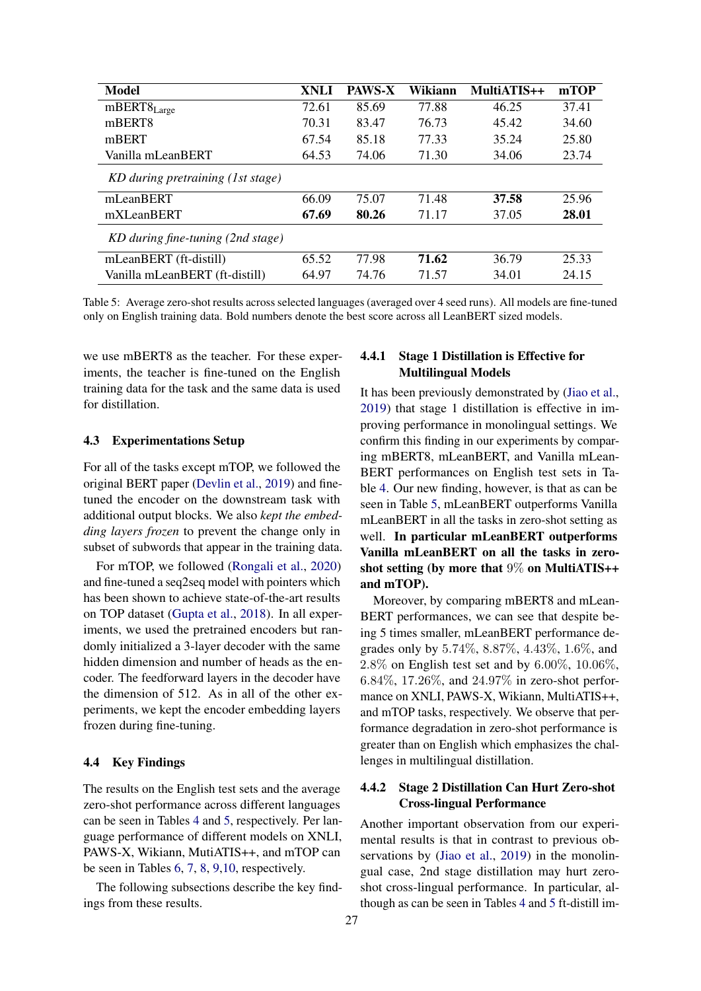<span id="page-5-0"></span>

| Model                             | <b>XNLI</b> | <b>PAWS-X</b> | Wikiann | MultiATIS++ | mTOP  |
|-----------------------------------|-------------|---------------|---------|-------------|-------|
| $mBERT8_{Large}$                  | 72.61       | 85.69         | 77.88   | 46.25       | 37.41 |
| mBERT <sub>8</sub>                | 70.31       | 83.47         | 76.73   | 45.42       | 34.60 |
| mBERT                             | 67.54       | 85.18         | 77.33   | 35.24       | 25.80 |
| Vanilla mLeanBERT                 | 64.53       | 74.06         | 71.30   | 34.06       | 23.74 |
| KD during pretraining (1st stage) |             |               |         |             |       |
| mLeanBERT                         | 66.09       | 75.07         | 71.48   | 37.58       | 25.96 |
| mXLeanBERT                        | 67.69       | 80.26         | 71.17   | 37.05       | 28.01 |
| KD during fine-tuning (2nd stage) |             |               |         |             |       |
| mLeanBERT (ft-distill)            | 65.52       | 77.98         | 71.62   | 36.79       | 25.33 |
| Vanilla mLeanBERT (ft-distill)    | 64.97       | 74.76         | 71.57   | 34.01       | 24.15 |

Table 5: Average zero-shot results across selected languages (averaged over 4 seed runs). All models are fine-tuned only on English training data. Bold numbers denote the best score across all LeanBERT sized models.

we use mBERT8 as the teacher. For these experiments, the teacher is fine-tuned on the English training data for the task and the same data is used for distillation.

#### 4.3 Experimentations Setup

For all of the tasks except mTOP, we followed the original BERT paper [\(Devlin et al.,](#page-8-1) [2019\)](#page-8-1) and finetuned the encoder on the downstream task with additional output blocks. We also *kept the embedding layers frozen* to prevent the change only in subset of subwords that appear in the training data.

For mTOP, we followed [\(Rongali et al.,](#page-9-25) [2020\)](#page-9-25) and fine-tuned a seq2seq model with pointers which has been shown to achieve state-of-the-art results on TOP dataset [\(Gupta et al.,](#page-8-22) [2018\)](#page-8-22). In all experiments, we used the pretrained encoders but randomly initialized a 3-layer decoder with the same hidden dimension and number of heads as the encoder. The feedforward layers in the decoder have the dimension of 512. As in all of the other experiments, we kept the encoder embedding layers frozen during fine-tuning.

#### 4.4 Key Findings

The results on the English test sets and the average zero-shot performance across different languages can be seen in Tables [4](#page-4-4) and [5,](#page-5-0) respectively. Per language performance of different models on XNLI, PAWS-X, Wikiann, MutiATIS++, and mTOP can be seen in Tables [6,](#page-6-0) [7,](#page-6-1) [8,](#page-6-2) [9](#page-7-0)[,10,](#page-7-1) respectively.

The following subsections describe the key findings from these results.

# 4.4.1 Stage 1 Distillation is Effective for Multilingual Models

It has been previously demonstrated by [\(Jiao et al.,](#page-8-6) [2019\)](#page-8-6) that stage 1 distillation is effective in improving performance in monolingual settings. We confirm this finding in our experiments by comparing mBERT8, mLeanBERT, and Vanilla mLean-BERT performances on English test sets in Table [4.](#page-4-4) Our new finding, however, is that as can be seen in Table [5,](#page-5-0) mLeanBERT outperforms Vanilla mLeanBERT in all the tasks in zero-shot setting as well. In particular mLeanBERT outperforms Vanilla mLeanBERT on all the tasks in zeroshot setting (by more that  $9\%$  on MultiATIS++ and mTOP).

Moreover, by comparing mBERT8 and mLean-BERT performances, we can see that despite being 5 times smaller, mLeanBERT performance degrades only by 5.74%, 8.87%, 4.43%, 1.6%, and 2.8% on English test set and by 6.00%, 10.06%, 6.84%, 17.26%, and 24.97% in zero-shot performance on XNLI, PAWS-X, Wikiann, MultiATIS++, and mTOP tasks, respectively. We observe that performance degradation in zero-shot performance is greater than on English which emphasizes the challenges in multilingual distillation.

# 4.4.2 Stage 2 Distillation Can Hurt Zero-shot Cross-lingual Performance

Another important observation from our experimental results is that in contrast to previous ob-servations by [\(Jiao et al.,](#page-8-6) [2019\)](#page-8-6) in the monolingual case, 2nd stage distillation may hurt zeroshot cross-lingual performance. In particular, although as can be seen in Tables [4](#page-4-4) and [5](#page-5-0) ft-distill im-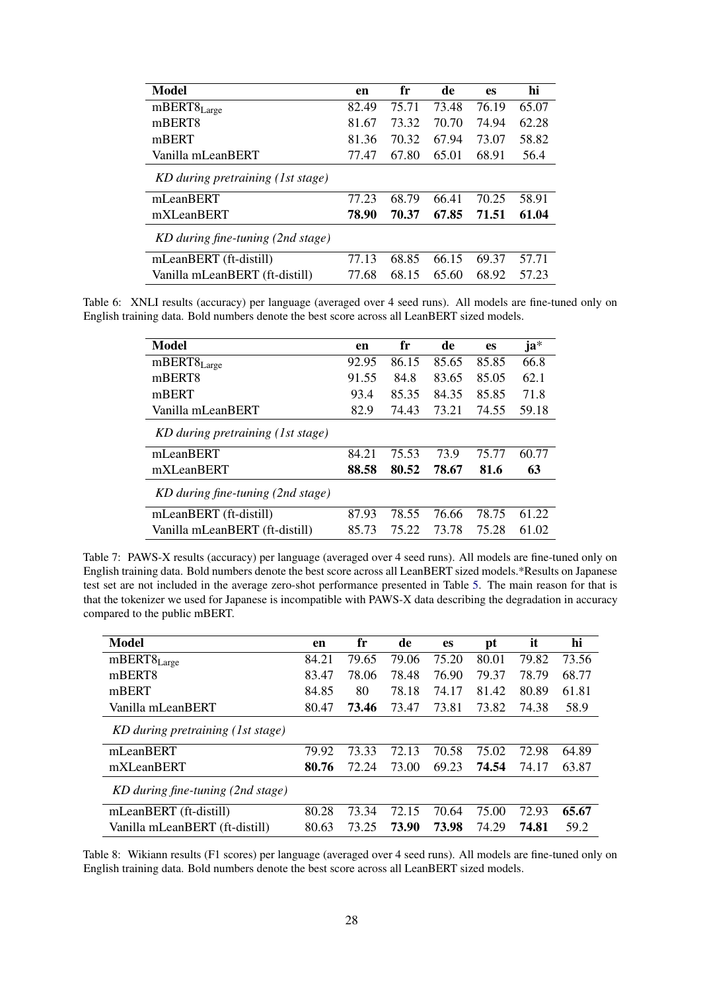<span id="page-6-0"></span>

| Model                             | en    | fr    | de    | <b>es</b> | hi    |
|-----------------------------------|-------|-------|-------|-----------|-------|
| $mBERT8_{Large}$                  | 82.49 | 75.71 | 73.48 | 76.19     | 65.07 |
| mBERT <sub>8</sub>                | 81.67 | 73.32 | 70.70 | 74.94     | 62.28 |
| mBERT                             | 81.36 | 70.32 | 67.94 | 73.07     | 58.82 |
| Vanilla mLeanBERT                 | 77.47 | 67.80 | 65.01 | 68.91     | 56.4  |
| KD during pretraining (1st stage) |       |       |       |           |       |
| mLeanBERT                         | 77.23 | 68.79 | 66.41 | 70.25     | 58.91 |
| mXLeanBERT                        | 78.90 | 70.37 | 67.85 | 71.51     | 61.04 |
| KD during fine-tuning (2nd stage) |       |       |       |           |       |
| mLeanBERT (ft-distill)            | 77.13 | 68.85 | 66.15 | 69.37     | 57.71 |
| Vanilla mLeanBERT (ft-distill)    | 77.68 | 68.15 | 65.60 | 68.92     | 57.23 |

<span id="page-6-1"></span>Table 6: XNLI results (accuracy) per language (averaged over 4 seed runs). All models are fine-tuned only on English training data. Bold numbers denote the best score across all LeanBERT sized models.

| Model                             | en    | fr    | de    | es    | ja*   |
|-----------------------------------|-------|-------|-------|-------|-------|
| $mBERT8_{Large}$                  | 92.95 | 86.15 | 85.65 | 85.85 | 66.8  |
| mBERT8                            | 91.55 | 84.8  | 83.65 | 85.05 | 62.1  |
| mBERT                             | 93.4  | 85.35 | 84.35 | 85.85 | 71.8  |
| Vanilla mLeanBERT                 | 82.9  | 74.43 | 73.21 | 74.55 | 59.18 |
| KD during pretraining (1st stage) |       |       |       |       |       |
| mLeanBERT                         | 84.21 | 75.53 | 73.9  | 75.77 | 60.77 |
| mXLeanBERT                        | 88.58 | 80.52 | 78.67 | 81.6  | 63    |
| KD during fine-tuning (2nd stage) |       |       |       |       |       |
| mLeanBERT (ft-distill)            | 87.93 | 78.55 | 76.66 | 78.75 | 61.22 |
| Vanilla mLeanBERT (ft-distill)    | 85.73 | 75.22 | 73.78 | 75.28 | 61.02 |

Table 7: PAWS-X results (accuracy) per language (averaged over 4 seed runs). All models are fine-tuned only on English training data. Bold numbers denote the best score across all LeanBERT sized models.\*Results on Japanese test set are not included in the average zero-shot performance presented in Table [5.](#page-5-0) The main reason for that is that the tokenizer we used for Japanese is incompatible with PAWS-X data describing the degradation in accuracy compared to the public mBERT.

<span id="page-6-2"></span>

| Model                             | en    | fr    | de    | es    | pt    | it    | hi    |
|-----------------------------------|-------|-------|-------|-------|-------|-------|-------|
| $mBERT8_{Large}$                  | 84.21 | 79.65 | 79.06 | 75.20 | 80.01 | 79.82 | 73.56 |
| mBERT8                            | 83.47 | 78.06 | 78.48 | 76.90 | 79.37 | 78.79 | 68.77 |
| mBERT                             | 84.85 | 80    | 78.18 | 74.17 | 81.42 | 80.89 | 61.81 |
| Vanilla mLeanBERT                 | 80.47 | 73.46 | 73.47 | 73.81 | 73.82 | 74.38 | 58.9  |
| KD during pretraining (1st stage) |       |       |       |       |       |       |       |
| mLeanBERT                         | 79.92 | 73.33 | 72.13 | 70.58 | 75.02 | 72.98 | 64.89 |
| mXLeanBERT                        | 80.76 | 72.24 | 73.00 | 69.23 | 74.54 | 74.17 | 63.87 |
| KD during fine-tuning (2nd stage) |       |       |       |       |       |       |       |
| mLeanBERT (ft-distill)            | 80.28 | 73.34 | 72.15 | 70.64 | 75.00 | 72.93 | 65.67 |
| Vanilla mLeanBERT (ft-distill)    | 80.63 | 73.25 | 73.90 | 73.98 | 74.29 | 74.81 | 59.2  |

Table 8: Wikiann results (F1 scores) per language (averaged over 4 seed runs). All models are fine-tuned only on English training data. Bold numbers denote the best score across all LeanBERT sized models.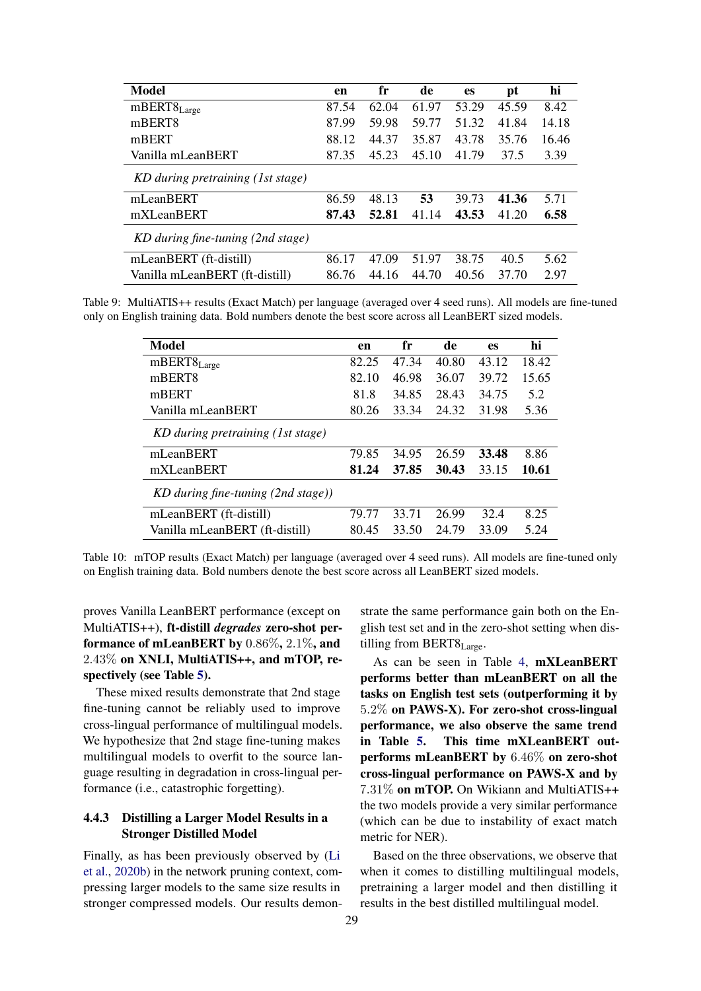<span id="page-7-0"></span>

| Model                             | en    | fr    | de    | <b>es</b> | pt    | hi    |
|-----------------------------------|-------|-------|-------|-----------|-------|-------|
| $mBERT8_{Large}$                  | 87.54 | 62.04 | 61.97 | 53.29     | 45.59 | 8.42  |
| mBERT <sub>8</sub>                | 87.99 | 59.98 | 59.77 | 51.32     | 41.84 | 14.18 |
| mBERT                             | 88.12 | 44.37 | 35.87 | 43.78     | 35.76 | 16.46 |
| Vanilla mLeanBERT                 | 87.35 | 45.23 | 45.10 | 41.79     | 37.5  | 3.39  |
| KD during pretraining (1st stage) |       |       |       |           |       |       |
| mLeanBERT                         | 86.59 | 48.13 | 53    | 39.73     | 41.36 | 5.71  |
| mXLeanBERT                        | 87.43 | 52.81 | 41.14 | 43.53     | 41.20 | 6.58  |
| KD during fine-tuning (2nd stage) |       |       |       |           |       |       |
| mLeanBERT (ft-distill)            | 86.17 | 47.09 | 51.97 | 38.75     | 40.5  | 5.62  |
| Vanilla mLeanBERT (ft-distill)    | 86.76 | 44.16 | 44.70 | 40.56     | 37.70 | 2.97  |

<span id="page-7-1"></span>Table 9: MultiATIS++ results (Exact Match) per language (averaged over 4 seed runs). All models are fine-tuned only on English training data. Bold numbers denote the best score across all LeanBERT sized models.

| en    | fr    | de    | es    | hi    |
|-------|-------|-------|-------|-------|
| 82.25 | 47.34 | 40.80 | 43.12 | 18.42 |
| 82.10 | 46.98 | 36.07 | 39.72 | 15.65 |
| 81.8  | 34.85 | 28.43 | 34.75 | 5.2   |
| 80.26 | 33.34 | 24.32 | 31.98 | 5.36  |
|       |       |       |       |       |
| 79.85 | 34.95 | 26.59 | 33.48 | 8.86  |
| 81.24 | 37.85 | 30.43 | 33.15 | 10.61 |
|       |       |       |       |       |
| 79.77 | 33.71 | 26.99 | 32.4  | 8.25  |
| 80.45 | 33.50 | 24.79 | 33.09 | 5.24  |
|       |       |       |       |       |

Table 10: mTOP results (Exact Match) per language (averaged over 4 seed runs). All models are fine-tuned only on English training data. Bold numbers denote the best score across all LeanBERT sized models.

proves Vanilla LeanBERT performance (except on MultiATIS++), ft-distill *degrades* zero-shot performance of mLeanBERT by 0.86%, 2.1%, and 2.43% on XNLI, MultiATIS++, and mTOP, respectively (see Table [5\)](#page-5-0).

These mixed results demonstrate that 2nd stage fine-tuning cannot be reliably used to improve cross-lingual performance of multilingual models. We hypothesize that 2nd stage fine-tuning makes multilingual models to overfit to the source language resulting in degradation in cross-lingual performance (i.e., catastrophic forgetting).

# 4.4.3 Distilling a Larger Model Results in a Stronger Distilled Model

Finally, as has been previously observed by [\(Li](#page-8-5) [et al.,](#page-8-5) [2020b\)](#page-8-5) in the network pruning context, compressing larger models to the same size results in stronger compressed models. Our results demonstrate the same performance gain both on the English test set and in the zero-shot setting when distilling from BERT8<sub>Large</sub>.

As can be seen in Table [4,](#page-4-4) mXLeanBERT performs better than mLeanBERT on all the tasks on English test sets (outperforming it by 5.2% on PAWS-X). For zero-shot cross-lingual performance, we also observe the same trend in Table [5.](#page-5-0) This time mXLeanBERT outperforms mLeanBERT by 6.46% on zero-shot cross-lingual performance on PAWS-X and by 7.31% on mTOP. On Wikiann and MultiATIS++ the two models provide a very similar performance (which can be due to instability of exact match metric for NER).

Based on the three observations, we observe that when it comes to distilling multilingual models, pretraining a larger model and then distilling it results in the best distilled multilingual model.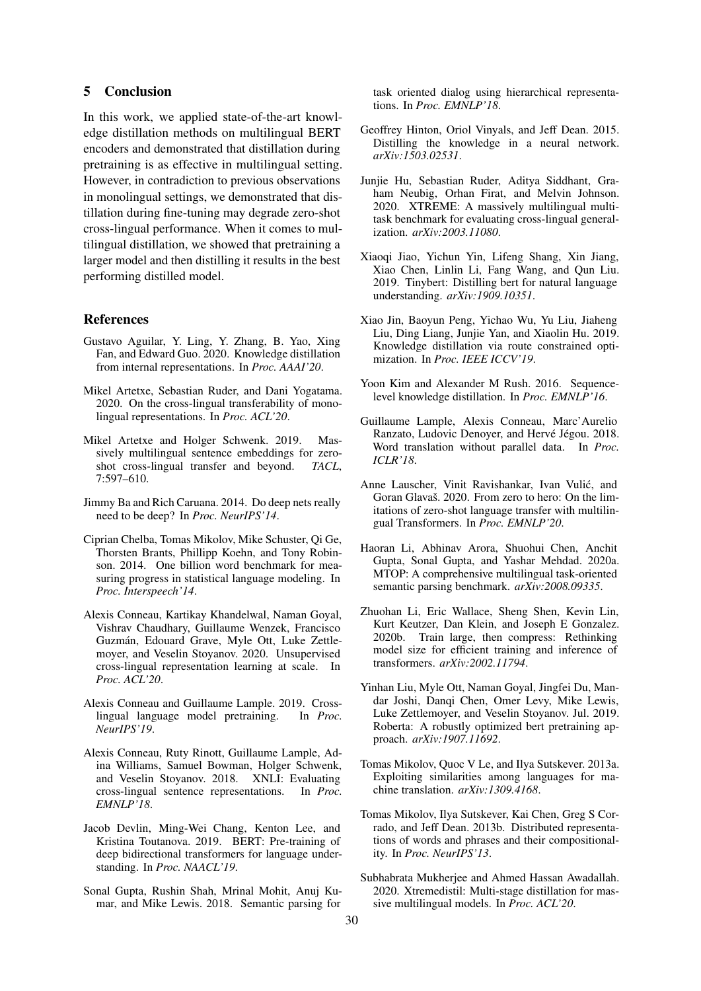## 5 Conclusion

In this work, we applied state-of-the-art knowledge distillation methods on multilingual BERT encoders and demonstrated that distillation during pretraining is as effective in multilingual setting. However, in contradiction to previous observations in monolingual settings, we demonstrated that distillation during fine-tuning may degrade zero-shot cross-lingual performance. When it comes to multilingual distillation, we showed that pretraining a larger model and then distilling it results in the best performing distilled model.

### References

- <span id="page-8-16"></span>Gustavo Aguilar, Y. Ling, Y. Zhang, B. Yao, Xing Fan, and Edward Guo. 2020. Knowledge distillation from internal representations. In *Proc. AAAI'20*.
- <span id="page-8-11"></span>Mikel Artetxe, Sebastian Ruder, and Dani Yogatama. 2020. On the cross-lingual transferability of monolingual representations. In *Proc. ACL'20*.
- <span id="page-8-10"></span>Mikel Artetxe and Holger Schwenk. 2019. Massively multilingual sentence embeddings for zeroshot cross-lingual transfer and beyond. *TACL*, 7:597–610.
- <span id="page-8-13"></span>Jimmy Ba and Rich Caruana. 2014. Do deep nets really need to be deep? In *Proc. NeurIPS'14*.
- <span id="page-8-17"></span>Ciprian Chelba, Tomas Mikolov, Mike Schuster, Qi Ge, Thorsten Brants, Phillipp Koehn, and Tony Robinson. 2014. One billion word benchmark for measuring progress in statistical language modeling. In *Proc. Interspeech'14*.
- <span id="page-8-2"></span>Alexis Conneau, Kartikay Khandelwal, Naman Goyal, Vishrav Chaudhary, Guillaume Wenzek, Francisco Guzman, Edouard Grave, Myle Ott, Luke Zettle- ´ moyer, and Veselin Stoyanov. 2020. Unsupervised cross-lingual representation learning at scale. In *Proc. ACL'20*.
- <span id="page-8-18"></span>Alexis Conneau and Guillaume Lample. 2019. Crosslingual language model pretraining. In *Proc. NeurIPS'19*.
- <span id="page-8-9"></span>Alexis Conneau, Ruty Rinott, Guillaume Lample, Adina Williams, Samuel Bowman, Holger Schwenk, and Veselin Stoyanov. 2018. XNLI: Evaluating cross-lingual sentence representations. In *Proc. EMNLP'18*.
- <span id="page-8-1"></span>Jacob Devlin, Ming-Wei Chang, Kenton Lee, and Kristina Toutanova. 2019. BERT: Pre-training of deep bidirectional transformers for language understanding. In *Proc. NAACL'19*.
- <span id="page-8-22"></span>Sonal Gupta, Rushin Shah, Mrinal Mohit, Anuj Kumar, and Mike Lewis. 2018. Semantic parsing for

task oriented dialog using hierarchical representations. In *Proc. EMNLP'18*.

- <span id="page-8-4"></span>Geoffrey Hinton, Oriol Vinyals, and Jeff Dean. 2015. Distilling the knowledge in a neural network. *arXiv:1503.02531*.
- <span id="page-8-20"></span>Junjie Hu, Sebastian Ruder, Aditya Siddhant, Graham Neubig, Orhan Firat, and Melvin Johnson. 2020. XTREME: A massively multilingual multitask benchmark for evaluating cross-lingual generalization. *arXiv:2003.11080*.
- <span id="page-8-6"></span>Xiaoqi Jiao, Yichun Yin, Lifeng Shang, Xin Jiang, Xiao Chen, Linlin Li, Fang Wang, and Qun Liu. 2019. Tinybert: Distilling bert for natural language understanding. *arXiv:1909.10351*.
- <span id="page-8-15"></span>Xiao Jin, Baoyun Peng, Yichao Wu, Yu Liu, Jiaheng Liu, Ding Liang, Junjie Yan, and Xiaolin Hu. 2019. Knowledge distillation via route constrained optimization. In *Proc. IEEE ICCV'19*.
- <span id="page-8-14"></span>Yoon Kim and Alexander M Rush. 2016. Sequencelevel knowledge distillation. In *Proc. EMNLP'16*.
- <span id="page-8-8"></span>Guillaume Lample, Alexis Conneau, Marc'Aurelio Ranzato, Ludovic Denoyer, and Hervé Jégou. 2018. Word translation without parallel data. In *Proc. ICLR'18*.
- <span id="page-8-12"></span>Anne Lauscher, Vinit Ravishankar, Ivan Vulic, and ´ Goran Glavaš. 2020. From zero to hero: On the limitations of zero-shot language transfer with multilingual Transformers. In *Proc. EMNLP'20*.
- <span id="page-8-21"></span>Haoran Li, Abhinav Arora, Shuohui Chen, Anchit Gupta, Sonal Gupta, and Yashar Mehdad. 2020a. MTOP: A comprehensive multilingual task-oriented semantic parsing benchmark. *arXiv:2008.09335*.
- <span id="page-8-5"></span>Zhuohan Li, Eric Wallace, Sheng Shen, Kevin Lin, Kurt Keutzer, Dan Klein, and Joseph E Gonzalez. 2020b. Train large, then compress: Rethinking model size for efficient training and inference of transformers. *arXiv:2002.11794*.
- <span id="page-8-19"></span>Yinhan Liu, Myle Ott, Naman Goyal, Jingfei Du, Mandar Joshi, Danqi Chen, Omer Levy, Mike Lewis, Luke Zettlemoyer, and Veselin Stoyanov. Jul. 2019. Roberta: A robustly optimized bert pretraining approach. *arXiv:1907.11692*.
- <span id="page-8-7"></span>Tomas Mikolov, Quoc V Le, and Ilya Sutskever. 2013a. Exploiting similarities among languages for machine translation. *arXiv:1309.4168*.
- <span id="page-8-0"></span>Tomas Mikolov, Ilya Sutskever, Kai Chen, Greg S Corrado, and Jeff Dean. 2013b. Distributed representations of words and phrases and their compositionality. In *Proc. NeurIPS'13*.
- <span id="page-8-3"></span>Subhabrata Mukherjee and Ahmed Hassan Awadallah. 2020. Xtremedistil: Multi-stage distillation for massive multilingual models. In *Proc. ACL'20*.